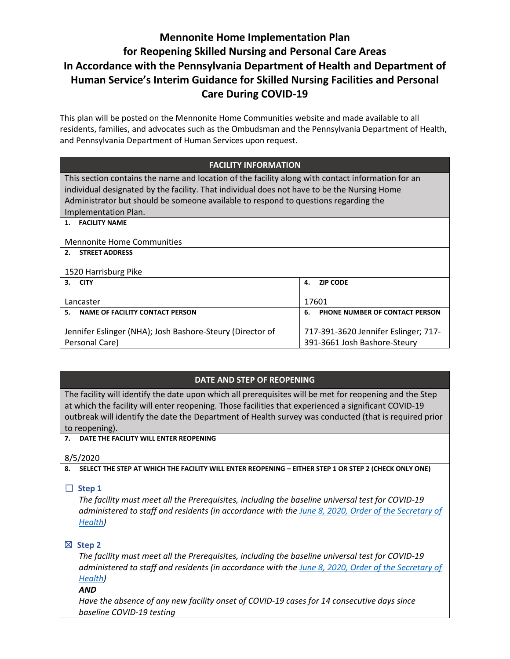# **Mennonite Home Implementation Plan for Reopening Skilled Nursing and Personal Care Areas In Accordance with the Pennsylvania Department of Health and Department of Human Service's Interim Guidance for Skilled Nursing Facilities and Personal Care During COVID-19**

This plan will be posted on the Mennonite Home Communities website and made available to all residents, families, and advocates such as the Ombudsman and the Pennsylvania Department of Health, and Pennsylvania Department of Human Services upon request.

| <b>FACILITY INFORMATION</b>                                                                       |                                      |  |
|---------------------------------------------------------------------------------------------------|--------------------------------------|--|
| This section contains the name and location of the facility along with contact information for an |                                      |  |
| individual designated by the facility. That individual does not have to be the Nursing Home       |                                      |  |
| Administrator but should be someone available to respond to questions regarding the               |                                      |  |
| Implementation Plan.                                                                              |                                      |  |
| 1. FACILITY NAME                                                                                  |                                      |  |
|                                                                                                   |                                      |  |
| <b>Mennonite Home Communities</b>                                                                 |                                      |  |
| 2.<br><b>STREET ADDRESS</b>                                                                       |                                      |  |
|                                                                                                   |                                      |  |
| 1520 Harrisburg Pike                                                                              |                                      |  |
| 3.<br><b>CITY</b>                                                                                 | <b>ZIP CODE</b><br>4.                |  |
|                                                                                                   |                                      |  |
| Lancaster                                                                                         | 17601                                |  |
| NAME OF FACILITY CONTACT PERSON<br>5.                                                             | 6.<br>PHONE NUMBER OF CONTACT PERSON |  |
|                                                                                                   |                                      |  |
| Jennifer Eslinger (NHA); Josh Bashore-Steury (Director of                                         | 717-391-3620 Jennifer Eslinger; 717- |  |
| Personal Care)                                                                                    | 391-3661 Josh Bashore-Steury         |  |
|                                                                                                   |                                      |  |

## **DATE AND STEP OF REOPENING**

The facility will identify the date upon which all prerequisites will be met for reopening and the Step at which the facility will enter reopening. Those facilities that experienced a significant COVID-19 outbreak will identify the date the Department of Health survey was conducted (that is required prior to reopening).

### **7. DATE THE FACILITY WILL ENTER REOPENING**

8/5/2020

**8. SELECT THE STEP AT WHICH THE FACILITY WILL ENTER REOPENING – EITHER STEP 1 OR STEP 2 (CHECK ONLY ONE)**

# ☐ **Step 1**

*The facility must meet all the Prerequisites, including the baseline universal test for COVID-19 administered to staff and residents (in accordance with the June [8, 2020, Order of the Secretary of](https://www.health.pa.gov/topics/Documents/Diseases%20and%20Conditions/Order%20of%20SOH%20Universal%20Testing%20in%20SNF.pdf)  [Health\)](https://www.health.pa.gov/topics/Documents/Diseases%20and%20Conditions/Order%20of%20SOH%20Universal%20Testing%20in%20SNF.pdf)*

# ☒ **Step 2**

*The facility must meet all the Prerequisites, including the baseline universal test for COVID-19 administered to staff and residents (in accordance with th[e June 8, 2020, Order of the Secretary of](https://www.health.pa.gov/topics/Documents/Diseases%20and%20Conditions/Order%20of%20SOH%20Universal%20Testing%20in%20SNF.pdf)  [Health\)](https://www.health.pa.gov/topics/Documents/Diseases%20and%20Conditions/Order%20of%20SOH%20Universal%20Testing%20in%20SNF.pdf)*

### *AND*

*Have the absence of any new facility onset of COVID-19 cases for 14 consecutive days since baseline COVID-19 testing*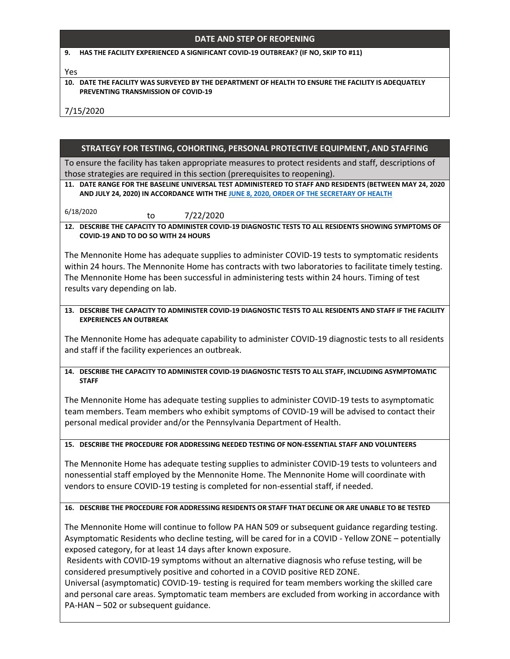### **DATE AND STEP OF REOPENING**

#### **9. HAS THE FACILITY EXPERIENCED A SIGNIFICANT COVID-19 OUTBREAK? (IF NO, SKIP TO #11)**

#### Yes

#### **10. DATE THE FACILITY WAS SURVEYED BY THE DEPARTMENT OF HEALTH TO ENSURE THE FACILITY IS ADEQUATELY PREVENTING TRANSMISSION OF COVID-19**

7/15/2020

### **STRATEGY FOR TESTING, COHORTING, PERSONAL PROTECTIVE EQUIPMENT, AND STAFFING**

To ensure the facility has taken appropriate measures to protect residents and staff, descriptions of those strategies are required in this section (prerequisites to reopening).

**11. DATE RANGE FOR THE BASELINE UNIVERSAL TEST ADMINISTERED TO STAFF AND RESIDENTS (BETWEEN MAY 24, 2020 AND JULY 24, 2020) IN ACCORDANCE WITH TH[E JUNE 8, 2020, ORDER OF THE SECRETARY](https://www.health.pa.gov/topics/Documents/Diseases%20and%20Conditions/Order%20of%20SOH%20Universal%20Testing%20in%20SNF.pdf) OF HEALTH**

6/18/2020 to 7/22/2020

**12. DESCRIBE THE CAPACITY TO ADMINISTER COVID-19 DIAGNOSTIC TESTS TO ALL RESIDENTS SHOWING SYMPTOMS OF COVID-19 AND TO DO SO WITH 24 HOURS**

The Mennonite Home has adequate supplies to administer COVID-19 tests to symptomatic residents within 24 hours. The Mennonite Home has contracts with two laboratories to facilitate timely testing. The Mennonite Home has been successful in administering tests within 24 hours. Timing of test results vary depending on lab.

**13. DESCRIBE THE CAPACITY TO ADMINISTER COVID-19 DIAGNOSTIC TESTS TO ALL RESIDENTS AND STAFF IF THE FACILITY EXPERIENCES AN OUTBREAK**

The Mennonite Home has adequate capability to administer COVID-19 diagnostic tests to all residents and staff if the facility experiences an outbreak.

### **14. DESCRIBE THE CAPACITY TO ADMINISTER COVID-19 DIAGNOSTIC TESTS TO ALL STAFF, INCLUDING ASYMPTOMATIC STAFF**

The Mennonite Home has adequate testing supplies to administer COVID-19 tests to asymptomatic team members. Team members who exhibit symptoms of COVID-19 will be advised to contact their personal medical provider and/or the Pennsylvania Department of Health.

**15. DESCRIBE THE PROCEDURE FOR ADDRESSING NEEDED TESTING OF NON-ESSENTIAL STAFF AND VOLUNTEERS**

The Mennonite Home has adequate testing supplies to administer COVID-19 tests to volunteers and nonessential staff employed by the Mennonite Home. The Mennonite Home will coordinate with vendors to ensure COVID-19 testing is completed for non-essential staff, if needed.

#### **16. DESCRIBE THE PROCEDURE FOR ADDRESSING RESIDENTS OR STAFF THAT DECLINE OR ARE UNABLE TO BE TESTED**

The Mennonite Home will continue to follow PA HAN 509 or subsequent guidance regarding testing. Asymptomatic Residents who decline testing, will be cared for in a COVID - Yellow ZONE – potentially exposed category, for at least 14 days after known exposure.

Residents with COVID-19 symptoms without an alternative diagnosis who refuse testing, will be considered presumptively positive and cohorted in a COVID positive RED ZONE.

Universal (asymptomatic) COVID-19- testing is required for team members working the skilled care and personal care areas. Symptomatic team members are excluded from working in accordance with PA-HAN – 502 or subsequent guidance.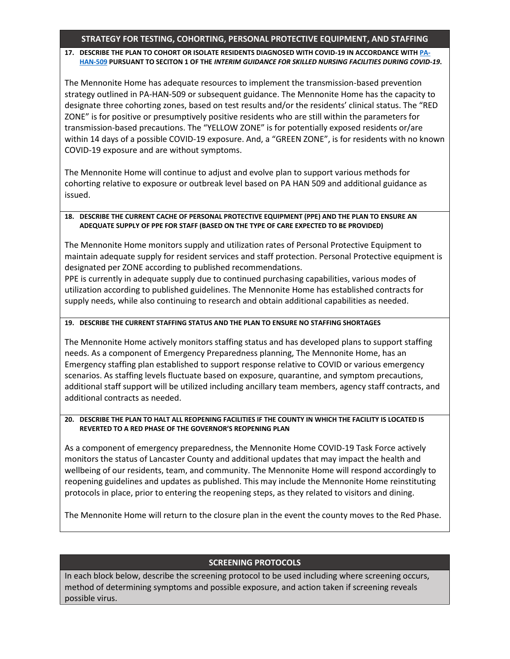### **STRATEGY FOR TESTING, COHORTING, PERSONAL PROTECTIVE EQUIPMENT, AND STAFFING**

### **17. DESCRIBE THE PLAN TO COHORT OR ISOLATE RESIDENTS DIAGNOSED WITH COVID-19 IN ACCORDANCE WITH [PA-](https://www.health.pa.gov/topics/Documents/Diseases%20and%20Conditions/Order%20of%20SOH%20Universal%20Testing%20in%20SNF.pdf)[HAN-509](https://www.health.pa.gov/topics/Documents/Diseases%20and%20Conditions/Order%20of%20SOH%20Universal%20Testing%20in%20SNF.pdf) PURSUANT TO SECITON 1 OF THE** *INTERIM GUIDANCE FOR SKILLED NURSING FACILITIES DURING COVID-19***.**

The Mennonite Home has adequate resources to implement the transmission-based prevention strategy outlined in PA-HAN-509 or subsequent guidance. The Mennonite Home has the capacity to designate three cohorting zones, based on test results and/or the residents' clinical status. The "RED ZONE" is for positive or presumptively positive residents who are still within the parameters for transmission-based precautions. The "YELLOW ZONE" is for potentially exposed residents or/are within 14 days of a possible COVID-19 exposure. And, a "GREEN ZONE", is for residents with no known COVID-19 exposure and are without symptoms.

The Mennonite Home will continue to adjust and evolve plan to support various methods for cohorting relative to exposure or outbreak level based on PA HAN 509 and additional guidance as issued.

### **18. DESCRIBE THE CURRENT CACHE OF PERSONAL PROTECTIVE EQUIPMENT (PPE) AND THE PLAN TO ENSURE AN ADEQUATE SUPPLY OF PPE FOR STAFF (BASED ON THE TYPE OF CARE EXPECTED TO BE PROVIDED)**

The Mennonite Home monitors supply and utilization rates of Personal Protective Equipment to maintain adequate supply for resident services and staff protection. Personal Protective equipment is designated per ZONE according to published recommendations.

PPE is currently in adequate supply due to continued purchasing capabilities, various modes of utilization according to published guidelines. The Mennonite Home has established contracts for supply needs, while also continuing to research and obtain additional capabilities as needed.

### **19. DESCRIBE THE CURRENT STAFFING STATUS AND THE PLAN TO ENSURE NO STAFFING SHORTAGES**

The Mennonite Home actively monitors staffing status and has developed plans to support staffing needs. As a component of Emergency Preparedness planning, The Mennonite Home, has an Emergency staffing plan established to support response relative to COVID or various emergency scenarios. As staffing levels fluctuate based on exposure, quarantine, and symptom precautions, additional staff support will be utilized including ancillary team members, agency staff contracts, and additional contracts as needed.

#### **20. DESCRIBE THE PLAN TO HALT ALL REOPENING FACILITIES IF THE COUNTY IN WHICH THE FACILITY IS LOCATED IS REVERTED TO A RED PHASE OF THE GOVERNOR'S REOPENING PLAN**

As a component of emergency preparedness, the Mennonite Home COVID-19 Task Force actively monitors the status of Lancaster County and additional updates that may impact the health and wellbeing of our residents, team, and community. The Mennonite Home will respond accordingly to reopening guidelines and updates as published. This may include the Mennonite Home reinstituting protocols in place, prior to entering the reopening steps, as they related to visitors and dining.

The Mennonite Home will return to the closure plan in the event the county moves to the Red Phase.

## **SCREENING PROTOCOLS**

In each block below, describe the screening protocol to be used including where screening occurs, method of determining symptoms and possible exposure, and action taken if screening reveals possible virus.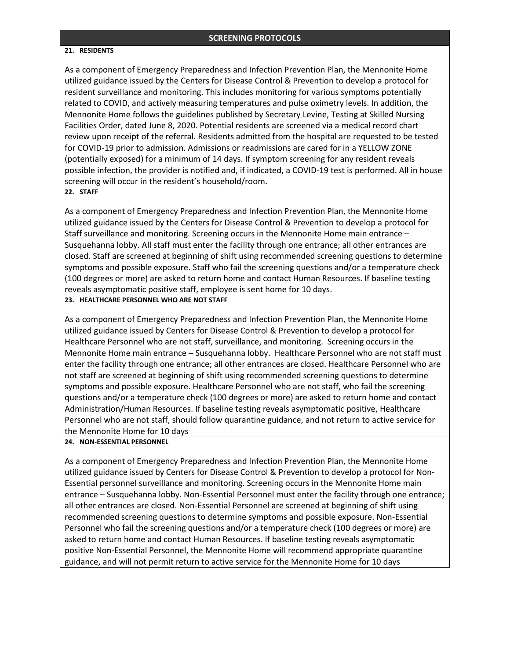#### **21. RESIDENTS**

As a component of Emergency Preparedness and Infection Prevention Plan, the Mennonite Home utilized guidance issued by the Centers for Disease Control & Prevention to develop a protocol for resident surveillance and monitoring. This includes monitoring for various symptoms potentially related to COVID, and actively measuring temperatures and pulse oximetry levels. In addition, the Mennonite Home follows the guidelines published by Secretary Levine, Testing at Skilled Nursing Facilities Order, dated June 8, 2020. Potential residents are screened via a medical record chart review upon receipt of the referral. Residents admitted from the hospital are requested to be tested for COVID-19 prior to admission. Admissions or readmissions are cared for in a YELLOW ZONE (potentially exposed) for a minimum of 14 days. If symptom screening for any resident reveals possible infection, the provider is notified and, if indicated, a COVID-19 test is performed. All in house screening will occur in the resident's household/room.

#### **22. STAFF**

As a component of Emergency Preparedness and Infection Prevention Plan, the Mennonite Home utilized guidance issued by the Centers for Disease Control & Prevention to develop a protocol for Staff surveillance and monitoring. Screening occurs in the Mennonite Home main entrance – Susquehanna lobby. All staff must enter the facility through one entrance; all other entrances are closed. Staff are screened at beginning of shift using recommended screening questions to determine symptoms and possible exposure. Staff who fail the screening questions and/or a temperature check (100 degrees or more) are asked to return home and contact Human Resources. If baseline testing reveals asymptomatic positive staff, employee is sent home for 10 days.

#### **23. HEALTHCARE PERSONNEL WHO ARE NOT STAFF**

As a component of Emergency Preparedness and Infection Prevention Plan, the Mennonite Home utilized guidance issued by Centers for Disease Control & Prevention to develop a protocol for Healthcare Personnel who are not staff, surveillance, and monitoring. Screening occurs in the Mennonite Home main entrance – Susquehanna lobby. Healthcare Personnel who are not staff must enter the facility through one entrance; all other entrances are closed. Healthcare Personnel who are not staff are screened at beginning of shift using recommended screening questions to determine symptoms and possible exposure. Healthcare Personnel who are not staff, who fail the screening questions and/or a temperature check (100 degrees or more) are asked to return home and contact Administration/Human Resources. If baseline testing reveals asymptomatic positive, Healthcare Personnel who are not staff, should follow quarantine guidance, and not return to active service for the Mennonite Home for 10 days

#### **24. NON-ESSENTIAL PERSONNEL**

As a component of Emergency Preparedness and Infection Prevention Plan, the Mennonite Home utilized guidance issued by Centers for Disease Control & Prevention to develop a protocol for Non-Essential personnel surveillance and monitoring. Screening occurs in the Mennonite Home main entrance – Susquehanna lobby. Non-Essential Personnel must enter the facility through one entrance; all other entrances are closed. Non-Essential Personnel are screened at beginning of shift using recommended screening questions to determine symptoms and possible exposure. Non-Essential Personnel who fail the screening questions and/or a temperature check (100 degrees or more) are asked to return home and contact Human Resources. If baseline testing reveals asymptomatic positive Non-Essential Personnel, the Mennonite Home will recommend appropriate quarantine guidance, and will not permit return to active service for the Mennonite Home for 10 days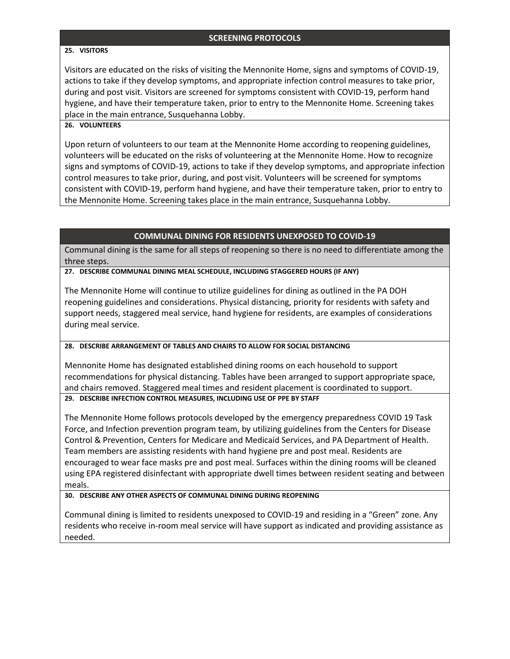### **25. VISITORS**

Visitors are educated on the risks of visiting the Mennonite Home, signs and symptoms of COVID-19, actions to take if they develop symptoms, and appropriate infection control measures to take prior, during and post visit. Visitors are screened for symptoms consistent with COVID-19, perform hand hygiene, and have their temperature taken, prior to entry to the Mennonite Home. Screening takes place in the main entrance, Susquehanna Lobby.

### **26. VOLUNTEERS**

Upon return of volunteers to our team at the Mennonite Home according to reopening guidelines, volunteers will be educated on the risks of volunteering at the Mennonite Home. How to recognize signs and symptoms of COVID-19, actions to take if they develop symptoms, and appropriate infection control measures to take prior, during, and post visit. Volunteers will be screened for symptoms consistent with COVID-19, perform hand hygiene, and have their temperature taken, prior to entry to the Mennonite Home. Screening takes place in the main entrance, Susquehanna Lobby.

### **COMMUNAL DINING FOR RESIDENTS UNEXPOSED TO COVID-19**

Communal dining is the same for all steps of reopening so there is no need to differentiate among the three steps.

**27. DESCRIBE COMMUNAL DINING MEAL SCHEDULE, INCLUDING STAGGERED HOURS (IF ANY)**

The Mennonite Home will continue to utilize guidelines for dining as outlined in the PA DOH reopening guidelines and considerations. Physical distancing, priority for residents with safety and support needs, staggered meal service, hand hygiene for residents, are examples of considerations during meal service.

#### **28. DESCRIBE ARRANGEMENT OF TABLES AND CHAIRS TO ALLOW FOR SOCIAL DISTANCING**

Mennonite Home has designated established dining rooms on each household to support recommendations for physical distancing. Tables have been arranged to support appropriate space, and chairs removed. Staggered meal times and resident placement is coordinated to support.

### **29. DESCRIBE INFECTION CONTROL MEASURES, INCLUDING USE OF PPE BY STAFF**

The Mennonite Home follows protocols developed by the emergency preparedness COVID 19 Task Force, and Infection prevention program team, by utilizing guidelines from the Centers for Disease Control & Prevention, Centers for Medicare and Medicaid Services, and PA Department of Health. Team members are assisting residents with hand hygiene pre and post meal. Residents are encouraged to wear face masks pre and post meal. Surfaces within the dining rooms will be cleaned using EPA registered disinfectant with appropriate dwell times between resident seating and between meals.

#### **30. DESCRIBE ANY OTHER ASPECTS OF COMMUNAL DINING DURING REOPENING**

Communal dining is limited to residents unexposed to COVID-19 and residing in a "Green" zone. Any residents who receive in-room meal service will have support as indicated and providing assistance as needed.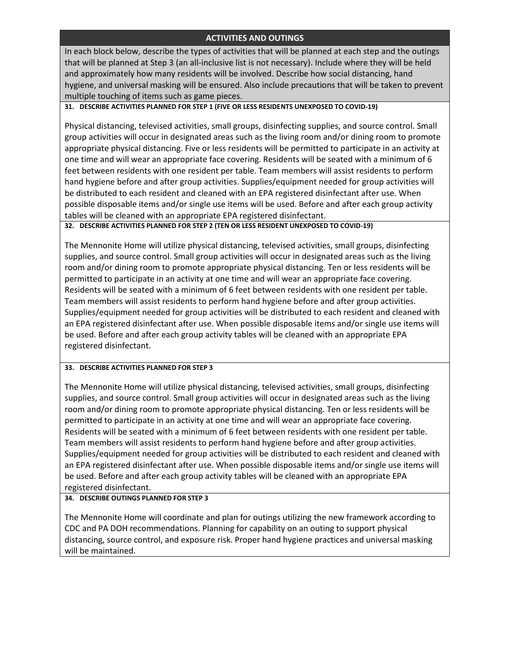# **ACTIVITIES AND OUTINGS**

In each block below, describe the types of activities that will be planned at each step and the outings that will be planned at Step 3 (an all-inclusive list is not necessary). Include where they will be held and approximately how many residents will be involved. Describe how social distancing, hand hygiene, and universal masking will be ensured. Also include precautions that will be taken to prevent multiple touching of items such as game pieces.

### **31. DESCRIBE ACTIVITIES PLANNED FOR STEP 1 (FIVE OR LESS RESIDENTS UNEXPOSED TO COVID-19)**

Physical distancing, televised activities, small groups, disinfecting supplies, and source control. Small group activities will occur in designated areas such as the living room and/or dining room to promote appropriate physical distancing. Five or less residents will be permitted to participate in an activity at one time and will wear an appropriate face covering. Residents will be seated with a minimum of 6 feet between residents with one resident per table. Team members will assist residents to perform hand hygiene before and after group activities. Supplies/equipment needed for group activities will be distributed to each resident and cleaned with an EPA registered disinfectant after use. When possible disposable items and/or single use items will be used. Before and after each group activity tables will be cleaned with an appropriate EPA registered disinfectant.

#### **32. DESCRIBE ACTIVITIES PLANNED FOR STEP 2 (TEN OR LESS RESIDENT UNEXPOSED TO COVID-19)**

The Mennonite Home will utilize physical distancing, televised activities, small groups, disinfecting supplies, and source control. Small group activities will occur in designated areas such as the living room and/or dining room to promote appropriate physical distancing. Ten or less residents will be permitted to participate in an activity at one time and will wear an appropriate face covering. Residents will be seated with a minimum of 6 feet between residents with one resident per table. Team members will assist residents to perform hand hygiene before and after group activities. Supplies/equipment needed for group activities will be distributed to each resident and cleaned with an EPA registered disinfectant after use. When possible disposable items and/or single use items will be used. Before and after each group activity tables will be cleaned with an appropriate EPA registered disinfectant.

#### **33. DESCRIBE ACTIVITIES PLANNED FOR STEP 3**

The Mennonite Home will utilize physical distancing, televised activities, small groups, disinfecting supplies, and source control. Small group activities will occur in designated areas such as the living room and/or dining room to promote appropriate physical distancing. Ten or less residents will be permitted to participate in an activity at one time and will wear an appropriate face covering. Residents will be seated with a minimum of 6 feet between residents with one resident per table. Team members will assist residents to perform hand hygiene before and after group activities. Supplies/equipment needed for group activities will be distributed to each resident and cleaned with an EPA registered disinfectant after use. When possible disposable items and/or single use items will be used. Before and after each group activity tables will be cleaned with an appropriate EPA registered disinfectant.

### **34. DESCRIBE OUTINGS PLANNED FOR STEP 3**

The Mennonite Home will coordinate and plan for outings utilizing the new framework according to CDC and PA DOH recommendations. Planning for capability on an outing to support physical distancing, source control, and exposure risk. Proper hand hygiene practices and universal masking will be maintained.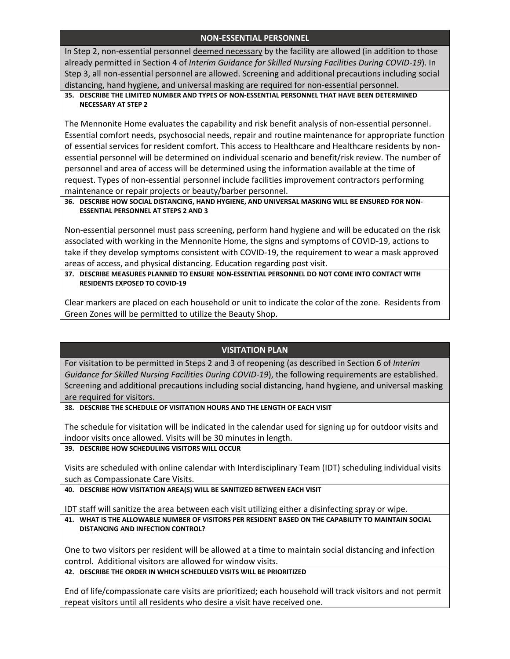# **NON-ESSENTIAL PERSONNEL**

In Step 2, non-essential personnel deemed necessary by the facility are allowed (in addition to those already permitted in Section 4 of *Interim Guidance for Skilled Nursing Facilities During COVID-19*). In Step 3, all non-essential personnel are allowed. Screening and additional precautions including social distancing, hand hygiene, and universal masking are required for non-essential personnel.

### **35. DESCRIBE THE LIMITED NUMBER AND TYPES OF NON-ESSENTIAL PERSONNEL THAT HAVE BEEN DETERMINED NECESSARY AT STEP 2**

The Mennonite Home evaluates the capability and risk benefit analysis of non-essential personnel. Essential comfort needs, psychosocial needs, repair and routine maintenance for appropriate function of essential services for resident comfort. This access to Healthcare and Healthcare residents by nonessential personnel will be determined on individual scenario and benefit/risk review. The number of personnel and area of access will be determined using the information available at the time of request. Types of non-essential personnel include facilities improvement contractors performing maintenance or repair projects or beauty/barber personnel.

### **36. DESCRIBE HOW SOCIAL DISTANCING, HAND HYGIENE, AND UNIVERSAL MASKING WILL BE ENSURED FOR NON-ESSENTIAL PERSONNEL AT STEPS 2 AND 3**

Non-essential personnel must pass screening, perform hand hygiene and will be educated on the risk associated with working in the Mennonite Home, the signs and symptoms of COVID-19, actions to take if they develop symptoms consistent with COVID-19, the requirement to wear a mask approved areas of access, and physical distancing. Education regarding post visit.

**37. DESCRIBE MEASURES PLANNED TO ENSURE NON-ESSENTIAL PERSONNEL DO NOT COME INTO CONTACT WITH RESIDENTS EXPOSED TO COVID-19**

Clear markers are placed on each household or unit to indicate the color of the zone. Residents from Green Zones will be permitted to utilize the Beauty Shop.

## **VISITATION PLAN**

For visitation to be permitted in Steps 2 and 3 of reopening (as described in Section 6 of *Interim Guidance for Skilled Nursing Facilities During COVID-19*), the following requirements are established. Screening and additional precautions including social distancing, hand hygiene, and universal masking are required for visitors.

**38. DESCRIBE THE SCHEDULE OF VISITATION HOURS AND THE LENGTH OF EACH VISIT**

The schedule for visitation will be indicated in the calendar used for signing up for outdoor visits and indoor visits once allowed. Visits will be 30 minutes in length.

### **39. DESCRIBE HOW SCHEDULING VISITORS WILL OCCUR**

Visits are scheduled with online calendar with Interdisciplinary Team (IDT) scheduling individual visits such as Compassionate Care Visits.

**40. DESCRIBE HOW VISITATION AREA(S) WILL BE SANITIZED BETWEEN EACH VISIT**

IDT staff will sanitize the area between each visit utilizing either a disinfecting spray or wipe.

**41. WHAT IS THE ALLOWABLE NUMBER OF VISITORS PER RESIDENT BASED ON THE CAPABILITY TO MAINTAIN SOCIAL DISTANCING AND INFECTION CONTROL?**

One to two visitors per resident will be allowed at a time to maintain social distancing and infection control. Additional visitors are allowed for window visits.

### **42. DESCRIBE THE ORDER IN WHICH SCHEDULED VISITS WILL BE PRIORITIZED**

End of life/compassionate care visits are prioritized; each household will track visitors and not permit repeat visitors until all residents who desire a visit have received one.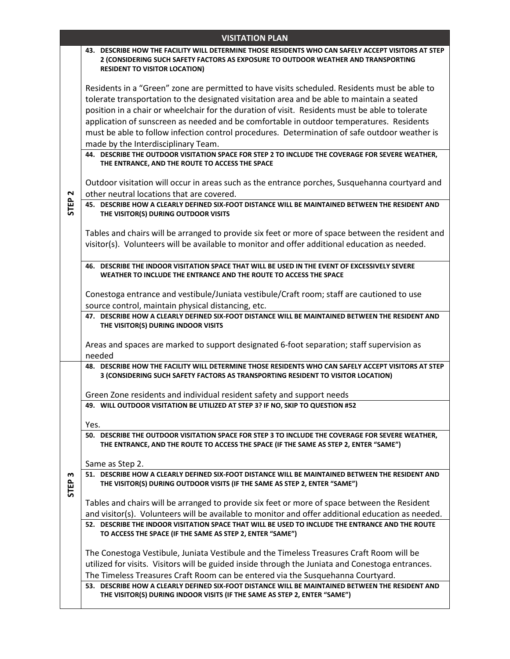| <b>VISITATION PLAN</b> |                                                                                                                                                                                                                                   |  |
|------------------------|-----------------------------------------------------------------------------------------------------------------------------------------------------------------------------------------------------------------------------------|--|
|                        | 43. DESCRIBE HOW THE FACILITY WILL DETERMINE THOSE RESIDENTS WHO CAN SAFELY ACCEPT VISITORS AT STEP<br>2 (CONSIDERING SUCH SAFETY FACTORS AS EXPOSURE TO OUTDOOR WEATHER AND TRANSPORTING<br><b>RESIDENT TO VISITOR LOCATION)</b> |  |
|                        | Residents in a "Green" zone are permitted to have visits scheduled. Residents must be able to<br>tolerate transportation to the designated visitation area and be able to maintain a seated                                       |  |
|                        | position in a chair or wheelchair for the duration of visit. Residents must be able to tolerate                                                                                                                                   |  |
|                        | application of sunscreen as needed and be comfortable in outdoor temperatures. Residents                                                                                                                                          |  |
|                        | must be able to follow infection control procedures. Determination of safe outdoor weather is                                                                                                                                     |  |
|                        | made by the Interdisciplinary Team.                                                                                                                                                                                               |  |
|                        | 44. DESCRIBE THE OUTDOOR VISITATION SPACE FOR STEP 2 TO INCLUDE THE COVERAGE FOR SEVERE WEATHER,<br>THE ENTRANCE, AND THE ROUTE TO ACCESS THE SPACE                                                                               |  |
|                        | Outdoor visitation will occur in areas such as the entrance porches, Susquehanna courtyard and                                                                                                                                    |  |
| N                      | other neutral locations that are covered.                                                                                                                                                                                         |  |
| <b>STEP</b>            | 45. DESCRIBE HOW A CLEARLY DEFINED SIX-FOOT DISTANCE WILL BE MAINTAINED BETWEEN THE RESIDENT AND<br>THE VISITOR(S) DURING OUTDOOR VISITS                                                                                          |  |
|                        | Tables and chairs will be arranged to provide six feet or more of space between the resident and                                                                                                                                  |  |
|                        | visitor(s). Volunteers will be available to monitor and offer additional education as needed.                                                                                                                                     |  |
|                        |                                                                                                                                                                                                                                   |  |
|                        | 46. DESCRIBE THE INDOOR VISITATION SPACE THAT WILL BE USED IN THE EVENT OF EXCESSIVELY SEVERE<br>WEATHER TO INCLUDE THE ENTRANCE AND THE ROUTE TO ACCESS THE SPACE                                                                |  |
|                        | Conestoga entrance and vestibule/Juniata vestibule/Craft room; staff are cautioned to use                                                                                                                                         |  |
|                        | source control, maintain physical distancing, etc.                                                                                                                                                                                |  |
|                        | 47. DESCRIBE HOW A CLEARLY DEFINED SIX-FOOT DISTANCE WILL BE MAINTAINED BETWEEN THE RESIDENT AND                                                                                                                                  |  |
|                        | THE VISITOR(S) DURING INDOOR VISITS                                                                                                                                                                                               |  |
|                        | Areas and spaces are marked to support designated 6-foot separation; staff supervision as<br>needed                                                                                                                               |  |
|                        | 48. DESCRIBE HOW THE FACILITY WILL DETERMINE THOSE RESIDENTS WHO CAN SAFELY ACCEPT VISITORS AT STEP<br>3 (CONSIDERING SUCH SAFETY FACTORS AS TRANSPORTING RESIDENT TO VISITOR LOCATION)                                           |  |
|                        | Green Zone residents and individual resident safety and support needs                                                                                                                                                             |  |
|                        | 49. WILL OUTDOOR VISITATION BE UTILIZED AT STEP 3? IF NO, SKIP TO QUESTION #52                                                                                                                                                    |  |
|                        |                                                                                                                                                                                                                                   |  |
|                        | Yes.<br>50. DESCRIBE THE OUTDOOR VISITATION SPACE FOR STEP 3 TO INCLUDE THE COVERAGE FOR SEVERE WEATHER,                                                                                                                          |  |
|                        | THE ENTRANCE, AND THE ROUTE TO ACCESS THE SPACE (IF THE SAME AS STEP 2, ENTER "SAME")                                                                                                                                             |  |
|                        | Same as Step 2.                                                                                                                                                                                                                   |  |
| w                      | 51. DESCRIBE HOW A CLEARLY DEFINED SIX-FOOT DISTANCE WILL BE MAINTAINED BETWEEN THE RESIDENT AND                                                                                                                                  |  |
| <b>STEP</b>            | THE VISITOR(S) DURING OUTDOOR VISITS (IF THE SAME AS STEP 2, ENTER "SAME")                                                                                                                                                        |  |
|                        | Tables and chairs will be arranged to provide six feet or more of space between the Resident                                                                                                                                      |  |
|                        | and visitor(s). Volunteers will be available to monitor and offer additional education as needed.                                                                                                                                 |  |
|                        | 52. DESCRIBE THE INDOOR VISITATION SPACE THAT WILL BE USED TO INCLUDE THE ENTRANCE AND THE ROUTE<br>TO ACCESS THE SPACE (IF THE SAME AS STEP 2, ENTER "SAME")                                                                     |  |
|                        | The Conestoga Vestibule, Juniata Vestibule and the Timeless Treasures Craft Room will be                                                                                                                                          |  |
|                        | utilized for visits. Visitors will be guided inside through the Juniata and Conestoga entrances.                                                                                                                                  |  |
|                        | The Timeless Treasures Craft Room can be entered via the Susquehanna Courtyard.                                                                                                                                                   |  |
|                        | 53. DESCRIBE HOW A CLEARLY DEFINED SIX-FOOT DISTANCE WILL BE MAINTAINED BETWEEN THE RESIDENT AND<br>THE VISITOR(S) DURING INDOOR VISITS (IF THE SAME AS STEP 2, ENTER "SAME")                                                     |  |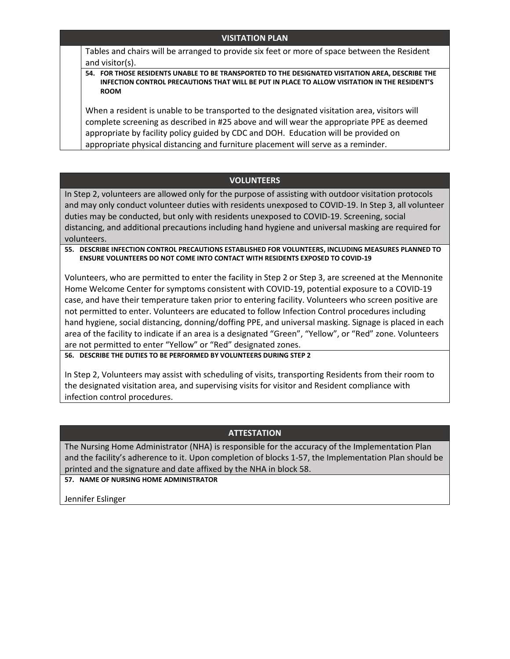## **VISITATION PLAN**

Tables and chairs will be arranged to provide six feet or more of space between the Resident and visitor(s).

**54. FOR THOSE RESIDENTS UNABLE TO BE TRANSPORTED TO THE DESIGNATED VISITATION AREA, DESCRIBE THE INFECTION CONTROL PRECAUTIONS THAT WILL BE PUT IN PLACE TO ALLOW VISITATION IN THE RESIDENT'S ROOM**

When a resident is unable to be transported to the designated visitation area, visitors will complete screening as described in #25 above and will wear the appropriate PPE as deemed appropriate by facility policy guided by CDC and DOH. Education will be provided on appropriate physical distancing and furniture placement will serve as a reminder.

### **VOLUNTEERS**

In Step 2, volunteers are allowed only for the purpose of assisting with outdoor visitation protocols and may only conduct volunteer duties with residents unexposed to COVID-19. In Step 3, all volunteer duties may be conducted, but only with residents unexposed to COVID-19. Screening, social distancing, and additional precautions including hand hygiene and universal masking are required for volunteers.

#### **55. DESCRIBE INFECTION CONTROL PRECAUTIONS ESTABLISHED FOR VOLUNTEERS, INCLUDING MEASURES PLANNED TO ENSURE VOLUNTEERS DO NOT COME INTO CONTACT WITH RESIDENTS EXPOSED TO COVID-19**

Volunteers, who are permitted to enter the facility in Step 2 or Step 3, are screened at the Mennonite Home Welcome Center for symptoms consistent with COVID-19, potential exposure to a COVID-19 case, and have their temperature taken prior to entering facility. Volunteers who screen positive are not permitted to enter. Volunteers are educated to follow Infection Control procedures including hand hygiene, social distancing, donning/doffing PPE, and universal masking. Signage is placed in each area of the facility to indicate if an area is a designated "Green", "Yellow", or "Red" zone. Volunteers are not permitted to enter "Yellow" or "Red" designated zones.

**56. DESCRIBE THE DUTIES TO BE PERFORMED BY VOLUNTEERS DURING STEP 2**

In Step 2, Volunteers may assist with scheduling of visits, transporting Residents from their room to the designated visitation area, and supervising visits for visitor and Resident compliance with infection control procedures.

### **ATTESTATION**

The Nursing Home Administrator (NHA) is responsible for the accuracy of the Implementation Plan and the facility's adherence to it. Upon completion of blocks 1-57, the Implementation Plan should be printed and the signature and date affixed by the NHA in block 58.

**57. NAME OF NURSING HOME ADMINISTRATOR**

Jennifer Eslinger